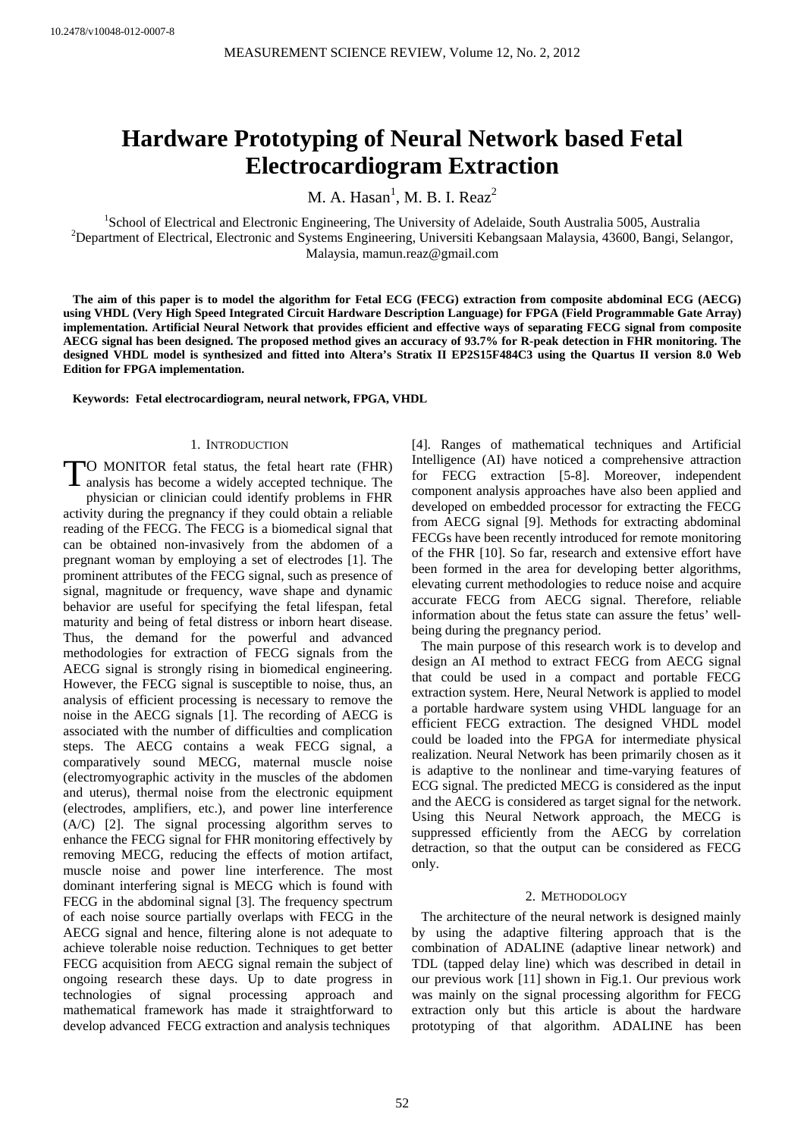# **Hardware Prototyping of Neural Network based Fetal Electrocardiogram Extraction**

M. A. Hasan<sup>1</sup>, M. B. I. Reaz<sup>2</sup>

<sup>1</sup>School of Electrical and Electronic Engineering, The University of Adelaide, South Australia 5005, Australia<br><sup>2</sup>Department of Electrical Electronic and Systems Engineering, University Kebangseen Melevie, 42600, Bangi, S <sup>2</sup>Department of Electrical, Electronic and Systems Engineering, Universiti Kebangsaan Malaysia, 43600, Bangi, Selangor, Malaysia, mamun.reaz@gmail.com

**The aim of this paper is to model the algorithm for Fetal ECG (FECG) extraction from composite abdominal ECG (AECG) using VHDL (Very High Speed Integrated Circuit Hardware Description Language) for FPGA (Field Programmable Gate Array) implementation. Artificial Neural Network that provides efficient and effective ways of separating FECG signal from composite AECG signal has been designed. The proposed method gives an accuracy of 93.7% for R-peak detection in FHR monitoring. The designed VHDL model is synthesized and fitted into Altera's Stratix II EP2S15F484C3 using the Quartus II version 8.0 Web Edition for FPGA implementation.** 

**Keywords: Fetal electrocardiogram, neural network, FPGA, VHDL** 

## 1. INTRODUCTION

O MONITOR fetal status, the fetal heart rate (FHR) TO MONITOR fetal status, the fetal heart rate (FHR) analysis has become a widely accepted technique. The physician or clinician could identify problems in FHR activity during the pregnancy if they could obtain a reliable reading of the FECG. The FECG is a biomedical signal that can be obtained non-invasively from the abdomen of a pregnant woman by employing a set of electrodes [1]. The prominent attributes of the FECG signal, such as presence of signal, magnitude or frequency, wave shape and dynamic behavior are useful for specifying the fetal lifespan, fetal maturity and being of fetal distress or inborn heart disease. Thus, the demand for the powerful and advanced methodologies for extraction of FECG signals from the AECG signal is strongly rising in biomedical engineering. However, the FECG signal is susceptible to noise, thus, an analysis of efficient processing is necessary to remove the noise in the AECG signals [1]. The recording of AECG is associated with the number of difficulties and complication steps. The AECG contains a weak FECG signal, a comparatively sound MECG, maternal muscle noise (electromyographic activity in the muscles of the abdomen and uterus), thermal noise from the electronic equipment (electrodes, amplifiers, etc.), and power line interference (A/C) [2]. The signal processing algorithm serves to enhance the FECG signal for FHR monitoring effectively by removing MECG, reducing the effects of motion artifact, muscle noise and power line interference. The most dominant interfering signal is MECG which is found with FECG in the abdominal signal [3]. The frequency spectrum of each noise source partially overlaps with FECG in the AECG signal and hence, filtering alone is not adequate to achieve tolerable noise reduction. Techniques to get better FECG acquisition from AECG signal remain the subject of ongoing research these days. Up to date progress in technologies of signal processing approach and mathematical framework has made it straightforward to develop advanced FECG extraction and analysis techniques

[4]. Ranges of mathematical techniques and Artificial Intelligence (AI) have noticed a comprehensive attraction for FECG extraction [5-8]. Moreover, independent component analysis approaches have also been applied and developed on embedded processor for extracting the FECG from AECG signal [9]. Methods for extracting abdominal FECGs have been recently introduced for remote monitoring of the FHR [10]. So far, research and extensive effort have been formed in the area for developing better algorithms, elevating current methodologies to reduce noise and acquire accurate FECG from AECG signal. Therefore, reliable information about the fetus state can assure the fetus' wellbeing during the pregnancy period.

The main purpose of this research work is to develop and design an AI method to extract FECG from AECG signal that could be used in a compact and portable FECG extraction system. Here, Neural Network is applied to model a portable hardware system using VHDL language for an efficient FECG extraction. The designed VHDL model could be loaded into the FPGA for intermediate physical realization. Neural Network has been primarily chosen as it is adaptive to the nonlinear and time-varying features of ECG signal. The predicted MECG is considered as the input and the AECG is considered as target signal for the network. Using this Neural Network approach, the MECG is suppressed efficiently from the AECG by correlation detraction, so that the output can be considered as FECG only.

## 2. METHODOLOGY

The architecture of the neural network is designed mainly by using the adaptive filtering approach that is the combination of ADALINE (adaptive linear network) and TDL (tapped delay line) which was described in detail in our previous work [11] shown in Fig.1. Our previous work was mainly on the signal processing algorithm for FECG extraction only but this article is about the hardware prototyping of that algorithm. ADALINE has been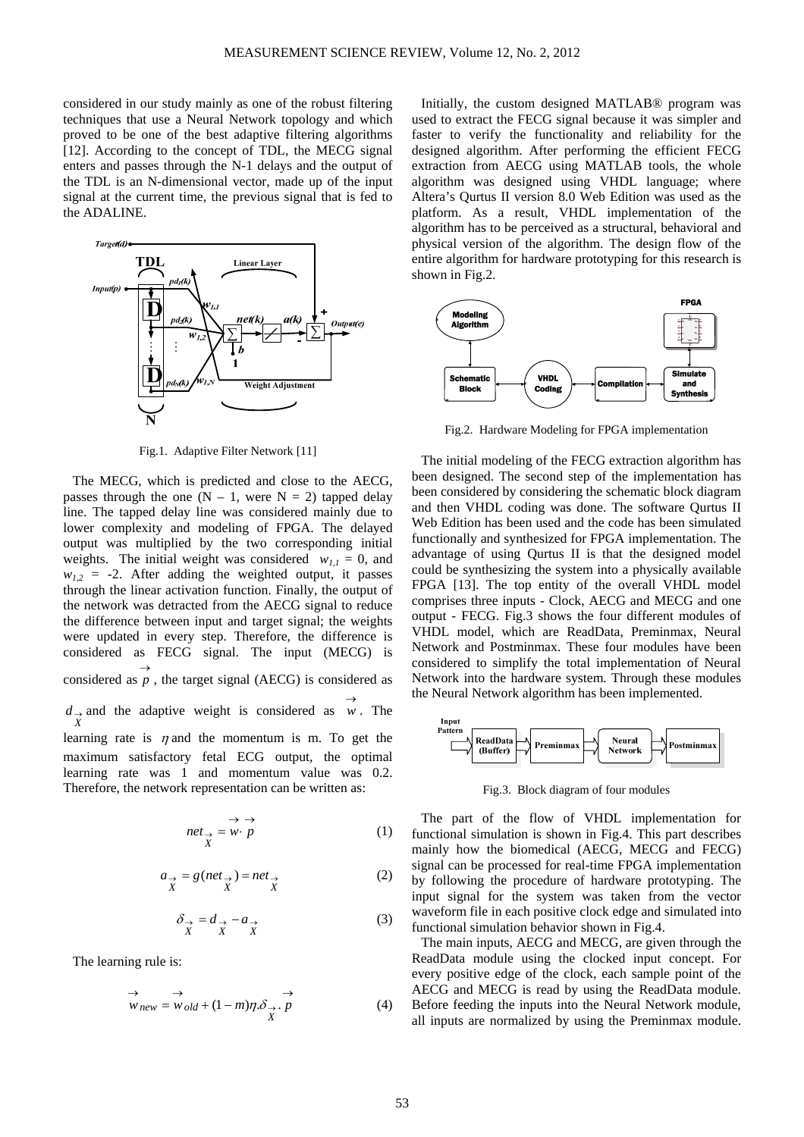considered in our study mainly as one of the robust filtering techniques that use a Neural Network topology and which proved to be one of the best adaptive filtering algorithms [12]. According to the concept of TDL, the MECG signal enters and passes through the N-1 delays and the output of the TDL is an N-dimensional vector, made up of the input signal at the current time, the previous signal that is fed to the ADALINE.



Fig.1. Adaptive Filter Network [11]

The MECG, which is predicted and close to the AECG, passes through the one  $(N - 1$ , were  $N = 2$ ) tapped delay line. The tapped delay line was considered mainly due to lower complexity and modeling of FPGA. The delayed output was multiplied by the two corresponding initial weights. The initial weight was considered  $w_{1,1} = 0$ , and  $w_{1,2}$  = -2. After adding the weighted output, it passes through the linear activation function. Finally, the output of the network was detracted from the AECG signal to reduce the difference between input and target signal; the weights were updated in every step. Therefore, the difference is considered as FECG signal. The input (MECG) is considered as  $\overrightarrow{p}$ , the target signal (AECG) is considered as  $d$ → and the adaptive weight is considered as  $w$ . The *X* learning rate is  $\eta$  and the momentum is m. To get the maximum satisfactory fetal ECG output, the optimal learning rate was 1 and momentum value was 0.2. Therefore, the network representation can be written as:

$$
net_{\rightarrow} = w \cdot p
$$
 (1)

$$
a_{\rightarrow} = g(net_{\rightarrow}) = net_{\rightarrow}
$$
  

$$
X \qquad X \qquad (2)
$$

$$
\delta_{\rightarrow} = d_{\rightarrow} - a_{\rightarrow} \tag{3}
$$

The learning rule is:

$$
\overrightarrow{w}_{new} = \overrightarrow{w}_{old} + (1 - m)\eta \cdot \overrightarrow{\delta}_{X} \cdot \overrightarrow{p}
$$
 (4)

Initially, the custom designed MATLAB® program was used to extract the FECG signal because it was simpler and faster to verify the functionality and reliability for the designed algorithm. After performing the efficient FECG extraction from AECG using MATLAB tools, the whole algorithm was designed using VHDL language; where Altera's Qurtus II version 8.0 Web Edition was used as the platform. As a result, VHDL implementation of the algorithm has to be perceived as a structural, behavioral and physical version of the algorithm. The design flow of the entire algorithm for hardware prototyping for this research is shown in Fig.2.



Fig.2. Hardware Modeling for FPGA implementation

The initial modeling of the FECG extraction algorithm has been designed. The second step of the implementation has been considered by considering the schematic block diagram and then VHDL coding was done. The software Qurtus II Web Edition has been used and the code has been simulated functionally and synthesized for FPGA implementation. The advantage of using Qurtus II is that the designed model could be synthesizing the system into a physically available FPGA [13]. The top entity of the overall VHDL model comprises three inputs - Clock, AECG and MECG and one output - FECG. Fig.3 shows the four different modules of VHDL model, which are ReadData, Preminmax, Neural Network and Postminmax. These four modules have been considered to simplify the total implementation of Neural Network into the hardware system. Through these modules the Neural Network algorithm has been implemented.



Fig.3. Block diagram of four modules

The part of the flow of VHDL implementation for functional simulation is shown in Fig.4. This part describes mainly how the biomedical (AECG, MECG and FECG) signal can be processed for real-time FPGA implementation by following the procedure of hardware prototyping. The input signal for the system was taken from the vector waveform file in each positive clock edge and simulated into functional simulation behavior shown in Fig.4.

The main inputs, AECG and MECG, are given through the ReadData module using the clocked input concept. For every positive edge of the clock, each sample point of the AECG and MECG is read by using the ReadData module. Before feeding the inputs into the Neural Network module, all inputs are normalized by using the Preminmax module.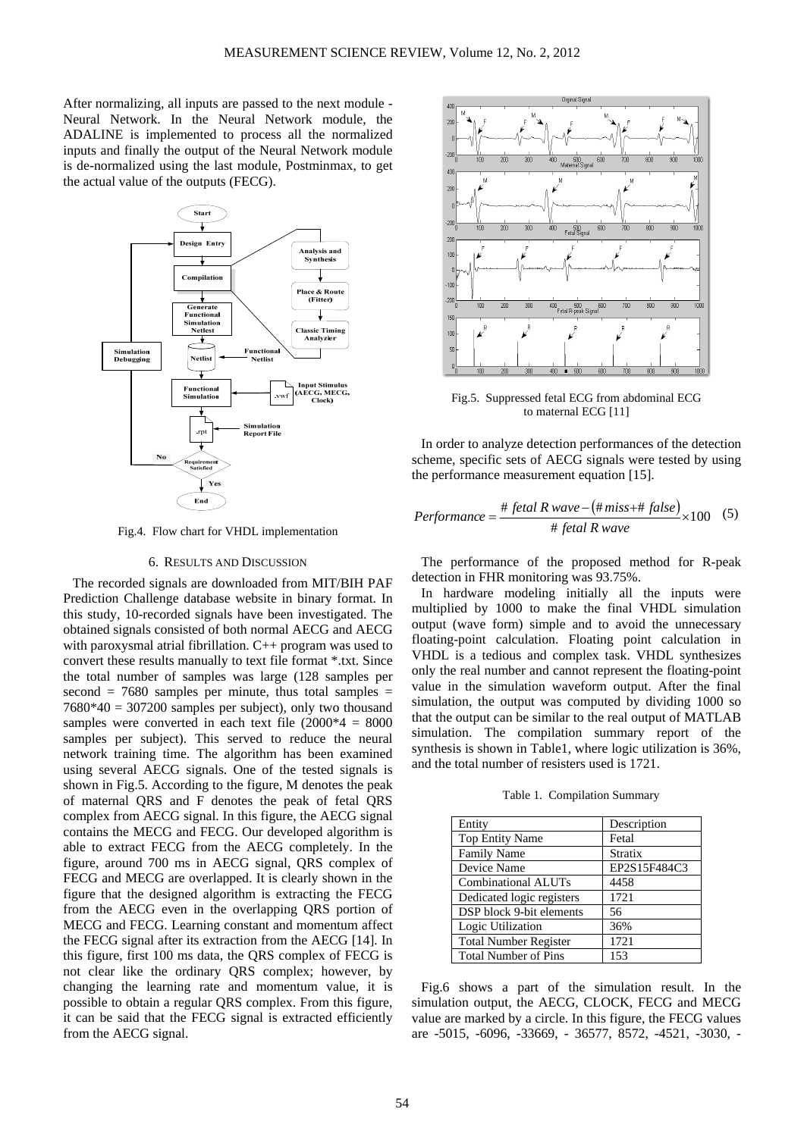After normalizing, all inputs are passed to the next module - Neural Network. In the Neural Network module, the ADALINE is implemented to process all the normalized inputs and finally the output of the Neural Network module is de-normalized using the last module, Postminmax, to get the actual value of the outputs (FECG).



Fig.4. Flow chart for VHDL implementation

#### 6. RESULTS AND DISCUSSION

The recorded signals are downloaded from MIT/BIH PAF Prediction Challenge database website in binary format. In this study, 10-recorded signals have been investigated. The obtained signals consisted of both normal AECG and AECG with paroxysmal atrial fibrillation. C++ program was used to convert these results manually to text file format \*.txt. Since the total number of samples was large (128 samples per second  $= 7680$  samples per minute, thus total samples  $=$  $7680*40 = 307200$  samples per subject), only two thousand samples were converted in each text file  $(2000*4 = 8000)$ samples per subject). This served to reduce the neural network training time. The algorithm has been examined using several AECG signals. One of the tested signals is shown in Fig.5. According to the figure, M denotes the peak of maternal QRS and F denotes the peak of fetal QRS complex from AECG signal. In this figure, the AECG signal contains the MECG and FECG. Our developed algorithm is able to extract FECG from the AECG completely. In the figure, around 700 ms in AECG signal, QRS complex of FECG and MECG are overlapped. It is clearly shown in the figure that the designed algorithm is extracting the FECG from the AECG even in the overlapping QRS portion of MECG and FECG. Learning constant and momentum affect the FECG signal after its extraction from the AECG [14]. In this figure, first 100 ms data, the QRS complex of FECG is not clear like the ordinary QRS complex; however, by changing the learning rate and momentum value, it is possible to obtain a regular QRS complex. From this figure, it can be said that the FECG signal is extracted efficiently from the AECG signal.



Fig.5. Suppressed fetal ECG from abdominal ECG to maternal ECG [11]

In order to analyze detection performances of the detection scheme, specific sets of AECG signals were tested by using the performance measurement equation [15].

$$
Performance = \frac{\# fetal R wave - (\# miss + \# false)}{\# fetal R wave} \times 100 \quad (5)
$$

The performance of the proposed method for R-peak detection in FHR monitoring was 93.75%.

In hardware modeling initially all the inputs were multiplied by 1000 to make the final VHDL simulation output (wave form) simple and to avoid the unnecessary floating-point calculation. Floating point calculation in VHDL is a tedious and complex task. VHDL synthesizes only the real number and cannot represent the floating-point value in the simulation waveform output. After the final simulation, the output was computed by dividing 1000 so that the output can be similar to the real output of MATLAB simulation. The compilation summary report of the synthesis is shown in Table1, where logic utilization is 36%, and the total number of resisters used is 1721.

Table 1. Compilation Summary

| Entity                       | Description  |
|------------------------------|--------------|
| <b>Top Entity Name</b>       | Fetal        |
| <b>Family Name</b>           | Stratix      |
| Device Name                  | EP2S15F484C3 |
| Combinational ALUTs          | 4458         |
| Dedicated logic registers    | 1721         |
| DSP block 9-bit elements     | 56           |
| Logic Utilization            | 36%          |
| <b>Total Number Register</b> | 1721         |
| <b>Total Number of Pins</b>  | 153          |

Fig.6 shows a part of the simulation result. In the simulation output, the AECG, CLOCK, FECG and MECG value are marked by a circle. In this figure, the FECG values are -5015, -6096, -33669, - 36577, 8572, -4521, -3030, -